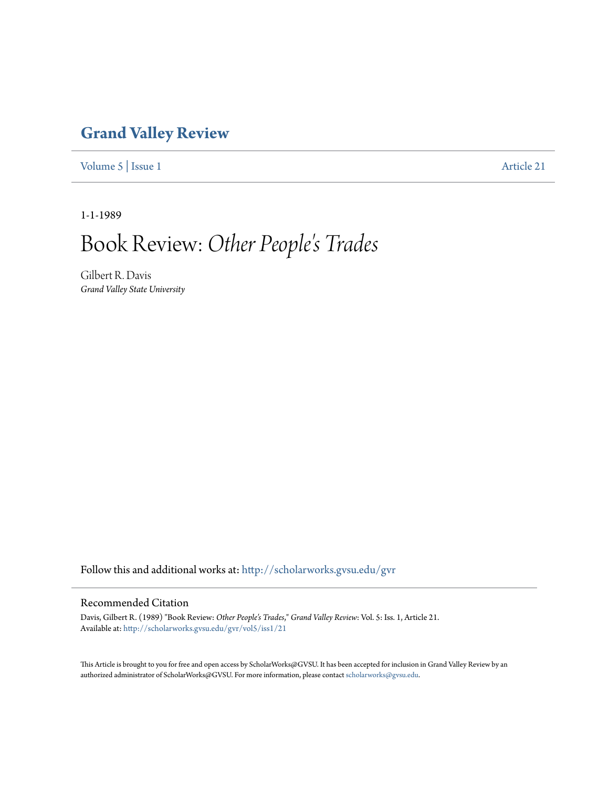## **[Grand Valley Review](http://scholarworks.gvsu.edu/gvr?utm_source=scholarworks.gvsu.edu%2Fgvr%2Fvol5%2Fiss1%2F21&utm_medium=PDF&utm_campaign=PDFCoverPages)**

[Volume 5](http://scholarworks.gvsu.edu/gvr/vol5?utm_source=scholarworks.gvsu.edu%2Fgvr%2Fvol5%2Fiss1%2F21&utm_medium=PDF&utm_campaign=PDFCoverPages) | [Issue 1](http://scholarworks.gvsu.edu/gvr/vol5/iss1?utm_source=scholarworks.gvsu.edu%2Fgvr%2Fvol5%2Fiss1%2F21&utm_medium=PDF&utm_campaign=PDFCoverPages) [Article 21](http://scholarworks.gvsu.edu/gvr/vol5/iss1/21?utm_source=scholarworks.gvsu.edu%2Fgvr%2Fvol5%2Fiss1%2F21&utm_medium=PDF&utm_campaign=PDFCoverPages)

1-1-1989

## Book Review:*Other People's Trades*

Gilbert R. Davis *Grand Valley State University*

Follow this and additional works at: [http://scholarworks.gvsu.edu/gvr](http://scholarworks.gvsu.edu/gvr?utm_source=scholarworks.gvsu.edu%2Fgvr%2Fvol5%2Fiss1%2F21&utm_medium=PDF&utm_campaign=PDFCoverPages)

## Recommended Citation

Davis, Gilbert R. (1989) "Book Review: *Other People's Trades*," *Grand Valley Review*: Vol. 5: Iss. 1, Article 21. Available at: [http://scholarworks.gvsu.edu/gvr/vol5/iss1/21](http://scholarworks.gvsu.edu/gvr/vol5/iss1/21?utm_source=scholarworks.gvsu.edu%2Fgvr%2Fvol5%2Fiss1%2F21&utm_medium=PDF&utm_campaign=PDFCoverPages)

This Article is brought to you for free and open access by ScholarWorks@GVSU. It has been accepted for inclusion in Grand Valley Review by an authorized administrator of ScholarWorks@GVSU. For more information, please contact [scholarworks@gvsu.edu.](mailto:scholarworks@gvsu.edu)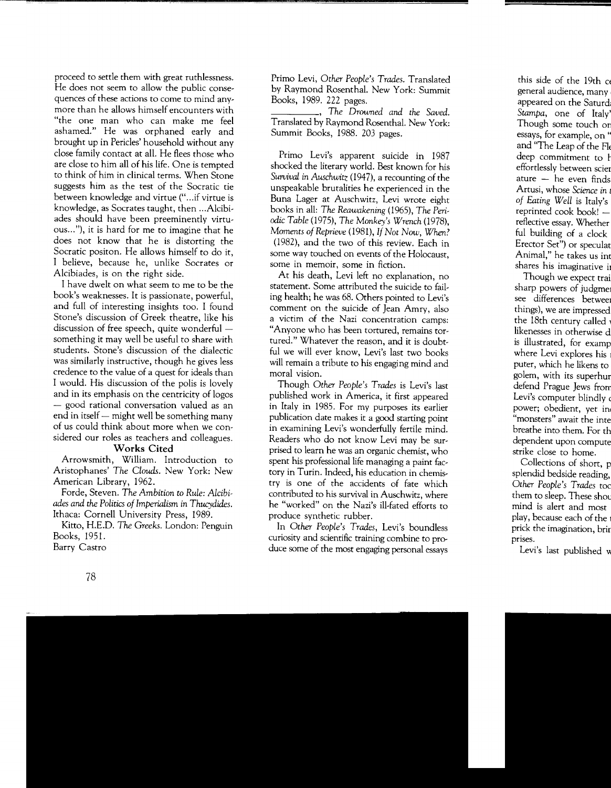proceed to settle them with great ruthlessness. He does not seem to allow the public consequences of these actions to come to mind anymore than he allows himself encounters with "the one man who can make me feel ashamed." He was orphaned early and brought up in Pericles' household without any close family contact at all. He flees those who are close to him all of his life. One is tempted to think of him in clinical terms. When Stone suggests him as the test of the Socratic tie between knowledge and virtue ("... if virtue is knowledge, as Socrates taught, then ... Alcibiades should have been preeminently virtuous ... "), it is hard for me to imagine that he does not know that he is distorting the Socratic positon. He allows himself to do it, I believe, because he, unlike Socrates or Alcibiades, is on the right side.

I have dwelt on what seem to me to be the book's weaknesses. It is passionate, powerful, and full of interesting insights too. I found Stone's discussion of Greek theatre, like his discussion of free speech, quite wonderful  $$ something it may well be useful to share with students. Stone's discussion of the dialectic was similarly instructive, though he gives less credence to the value of a quest for ideals than I would. His discussion of the polis is lovely and in its emphasis on the centricity of logos - good rational conversation valued as an end in itself  $-$  might well be something many of us could think about more when we considered our roles as teachers and colleagues.

## **Works Cited**

Arrowsmith, William. Introduction to Aristophanes' *The Clouds.* New York: New American Library, 1962.

Forde, Steven. *The Ambition to Rule: Alcibiades and the Politics of Imperialism* in *Thucydides.*  Ithaca: Cornell University Press, 1989.

Kitto, H.E.D. The *Greeks.* London: Penguin Books, 1951. Barry Castro

Primo Levi, *Other People's Trades.* Translated by Raymond Rosenthal. New York: Summit Books, 1989. 222 pages.

\_\_\_\_ , *The Dmwned and the Saved.*  Translated by Raymond Rosenthal. New York: Summit Books, 1988. 203 pages.

Primo Levi's apparent suicide in 1987 shocked the literary world. Best known for his *Survival* in *Auschwitz* (1947), a recounting of the unspeakable brutalities he experienced in the Buna Lager at Auschwitz, Levi wrote eight books in all: *The Reawakening* (1965), *The Peri*odic *Table* (1975), *The Monkey's Wrench* (1978), *Moments of Reprieve* (1981), *If Not Now, When?*  (1982), and the two of this review. Each in some way touched on events of the Holocaust, some in memoir, some in fiction.

At his death, Levi left no explanation, no statement. Some attributed the suicide to failing health; he was 68. Others pointed to Levi's comment on the suicide of Jean Amry, also a victim of the Nazi concentration camps: "Anyone who has been tortured, remains tortured." Whatever the reason, and it is doubtful we will ever know, Levi's last two books will remain a tribute to his engaging mind and moral vision.

Though *Other People's Trades* is Levi's last published work in America, it first appeared in Italy in 1985. For my purposes its earlier publication date makes it a good starting point in examining Levi's wonderfully fertile mind. Readers who do not know Levi may be surprised to learn he was an organic chemist, who spent his professional life managing a paint factory in Turin. Indeed, his education in chemistry is one of the accidents of fate which contributed to his survival in Auschwitz, where he "worked" on the Nazi's ill-fated efforts to produce synthetic rubber.

In *Other People's Trades,* Levi's boundless curiosity and scientific training combine to produce some of the most engaging personal essays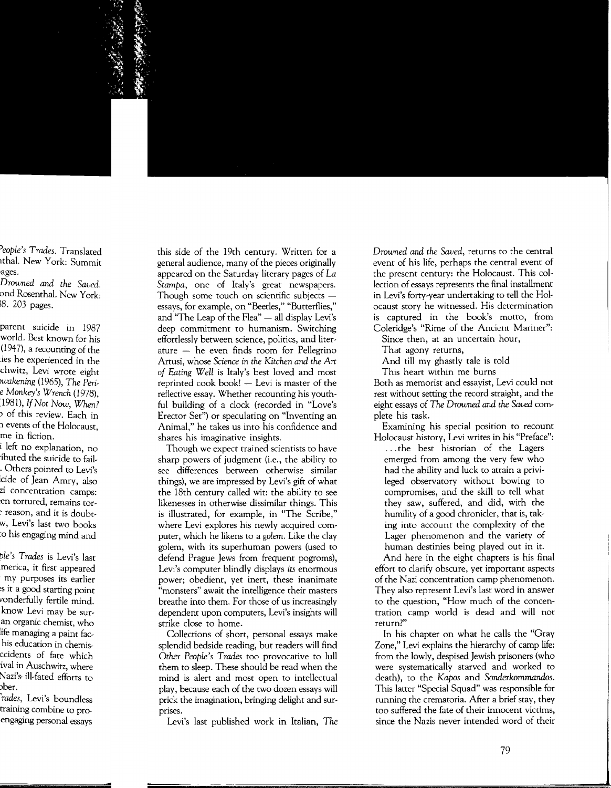this side of the 19th century. Written for a general audience, many of the pieces originally appeared on the Saturday literary pages of *La Stampa,* one of Italy's great newspapers. Though some touch on scientific subjects  $$ essays, for example, on "Beetles," "Butterflies," and "The Leap of the Flea"  $-$  all display Levi's deep commitment to humanism. Switching effortlessly between science, politics, and literature  $-$  he even finds room for Pellegrino Artusi, whose *Science in the Kitchen and the Art of Eating Well* is Italy's best loved and most reprinted cook book!  $-$  Levi is master of the reflective essay. Whether recounting his youthful building of a clock (recorded in "Love's Erector Set") or speculating on "Inventing an Animal," he takes us into his confidence and shares his imaginative insights.

Though we expect trained scientists to have sharp powers of judgment (i.e., the ability to see differences between otherwise similar things), we are impressed by Levi's gift of what the 18th century called wit: the ability to see likenesses in otherwise dissimilar things. This is illustrated, for example, in "The Scribe," where Levi explores his newly acquired computer, which he likens to a *golem.* Like the clay golem, with its superhuman powers (used to defend Prague Jews from frequent pogroms), Levi's computer blindly displays *its* enormous power; obedient, yet inert, these inanimate "monsters" await the intelligence their masters breathe into them. For those of us increasingly dependent upon computers, Levi's insights will strike close to home.

Collections of short, personal essays make splendid bedside reading, but readers will find *Other People's Trades* too provocative to lull them to sleep. These should be read when the mind is alert and most open to intellectual play, because each of the two dozen essays will prick the imagination, bringing delight and surprises.

Levi's last published work in Italian, *The* 

*Droumed and the Saved,* returns to the central event of his life, perhaps the central event of the present century: the Holocaust. This collection of essays represents the final installment in Levi's forty-year undertaking to tell the Holocaust story he witnessed. His determination is captured in the book's motto, from Coleridge's "Rime of the Ancient Mariner":

Since then, at an uncertain hour,

That agony returns,

And till my ghastly tale is told

This heart within me burns

Both as memorist and essayist, Levi could not rest without setting the record straight, and the eight essays of The *Droumed and the Saved* complete his task.

Examining his special position to recount Holocaust history, Levi writes in his "Preface":

... the best historian of the Lagers emerged from among the very few who had the ability and luck to attain a privileged observatory without bowing to compromises, and the skill to tell what they saw, suffered, and did, with the humility of a good chronicler, that is, taking into account the complexity of the Lager phenomenon and the variety of human destinies being played out in it.

And here in the eight chapters is his final effort to clarify obscure, yet important aspects of the Nazi concentration camp phenomenon. They also represent Levi's last word in answer to the question, "How much of the concentration camp world is dead and will not return?"

In his chapter on what he calls the "Gray Zone," Levi explains the hierarchy of camp life: from the lowly, despised Jewish prisoners (who were systematically starved and worked to death), to the *Kapos* and *Sonderkommandos.*  This latter "Special Squad" was responsible for running the crematoria. After a brief stay, they too suffered the fate of their innocent victims, since the Nazis never intended word of their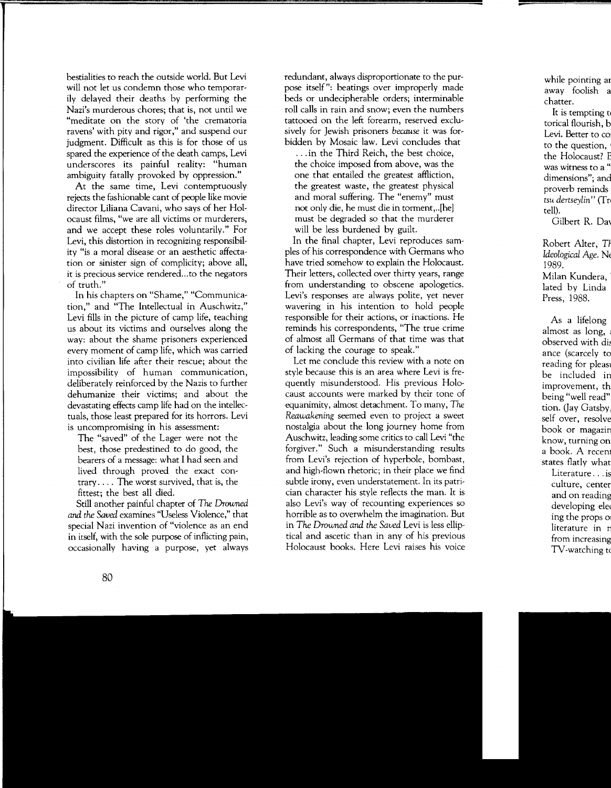bestialities to reach the outside world. But Levi will not let us condemn those who temporarily delayed their deaths by performing the Nazi's murderous chores; that is, not until we "meditate on the story of 'the crematoria ravens' with pity and rigor," and suspend our judgment. Difficult as this is for those of us spared the experience of the death camps, Levi underscores its painful reality: "human ambiguity fatally provoked by oppression."

At the same time, Levi contemptuously rejects the fashionable cant of people like movie director Liliana Cavani, who says of her Holocaust films, "we are all victims or murderers, and we accept these roles voluntarily." For Levi, this distortion in recognizing responsibility "is a moral disease or an aesthetic affectation or sinister sign of complicity; above all, it is precious service rendered...to the negators of truth."

In his chapters on "Shame," "Communication," and "The Intellectual in Auschwitz," Levi fills in the picture of camp life, teaching us about its victims and ourselves along the way: about the shame prisoners experienced every moment of camp life, which was carried into civilian life after their rescue; about the impossibility of human communication, deliberately reinforced by the Nazis to further dehumanize their victims; and about the devastating effects camp life had on the intellectuals, those least prepared for its horrors. Levi is uncompromising in his assessment:

The "saved" of the Lager were not the best, those predestined to do good, the bearers of a message: what I had seen and lived through proved the exact contrary .... The worst survived, that is, the fittest; the best all died.

Still another painful chapter of *The Droumed and the Saved* examines "Useless Violence," that special Nazi invention of "violence as an end in itself, with the sole purpose of inflicting pain, occasionally having a purpose, yet always redundant, always disproportionate to the purpose itself": beatings over improperly made beds or undecipherable orders; interminable roll calls in rain and snow; even the numbers tattooed on the left forearm, reserved exclusively for Jewish prisoners *because* it was forbidden by Mosaic law. Levi concludes that

... in the Third Reich, the best choice, the choice imposed from above, was the one that entailed the greatest affliction, the greatest waste, the greatest physical and moral suffering. The "enemy" must not only die, he must die in torment, .. [he] must be degraded so that the murderer will be less burdened by guilt.

In the final chapter, Levi reproduces samples of his correspondence with Germans who have tried somehow to explain the Holocaust. Their letters, collected over thirty years, range from understanding to obscene apologetics. Levi's responses are always polite, yet never wavering in his intention to hold people responsible for their actions, or inactions. He reminds his correspondents, "The true crime of almost all Germans of that time was that of lacking the courage to speak."

Let me conclude this review with a note on style because this is an area where Levi is frequently misunderstood. His previous Holocaust accounts were marked by their tone of equanimity, almost detachment. To many, *The Reawakening* seemed even to project a sweet nostalgia about the long journey home from Auschwitz, leading some critics to call Levi "the forgiver." Such a misunderstanding results from Levi's rejection of hyperbole, bombast, and high-flown rhetoric; in their place we find subtle irony, even understatement. In its patrician character his style reflects the man. It is also Levi's way of recounting experiences so horrible as to overwhelm the imagination. But in *The Drowned and the Saved* Levi is less elliptical and ascetic than in any of his previous Holocaust books. Here Levi raises his voice